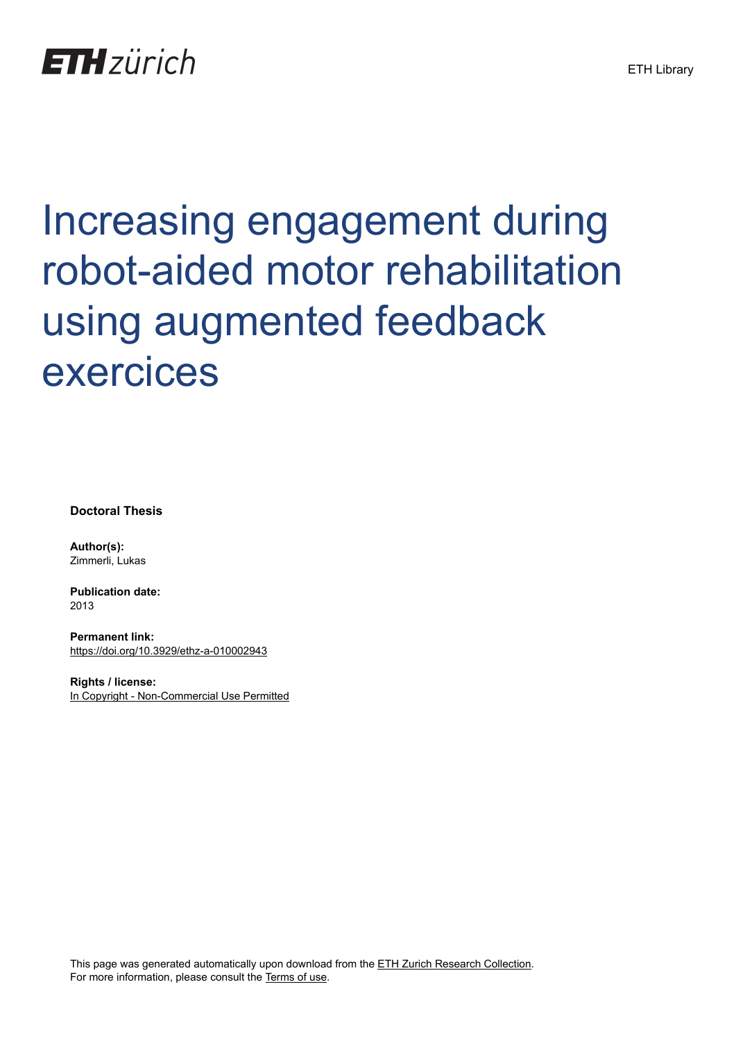## **ETH**zürich

# Increasing engagement during robot-aided motor rehabilitation using augmented feedback exercices

**Doctoral Thesis**

**Author(s):** Zimmerli, Lukas

**Publication date:** 2013

**Permanent link:** <https://doi.org/10.3929/ethz-a-010002943>

**Rights / license:** [In Copyright - Non-Commercial Use Permitted](http://rightsstatements.org/page/InC-NC/1.0/)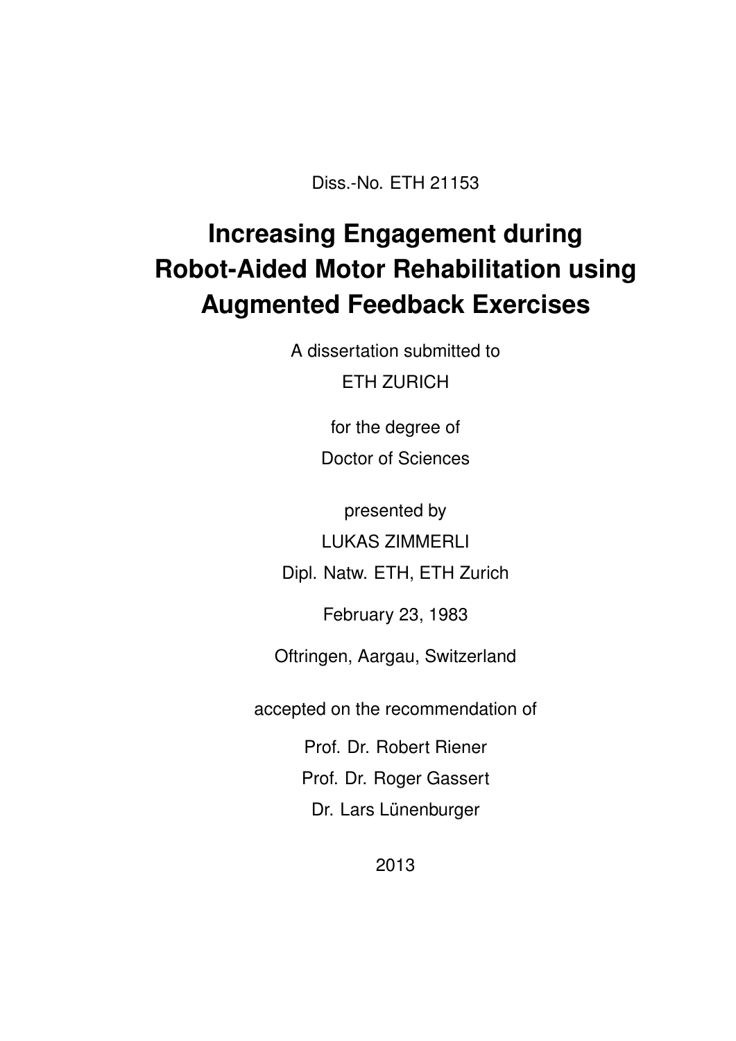Diss.-No. ETH 21153

## **Increasing Engagement during Robot-Aided Motor Rehabilitation using Augmented Feedback Exercises**

A dissertation submitted to ETH ZURICH

for the degree of

Doctor of Sciences

presented by LUKAS ZIMMERLI

Dipl. Natw. ETH, ETH Zurich

February 23, 1983

Oftringen, Aargau, Switzerland

accepted on the recommendation of

Prof. Dr. Robert Riener Prof. Dr. Roger Gassert

Dr. Lars Lünenburger

2013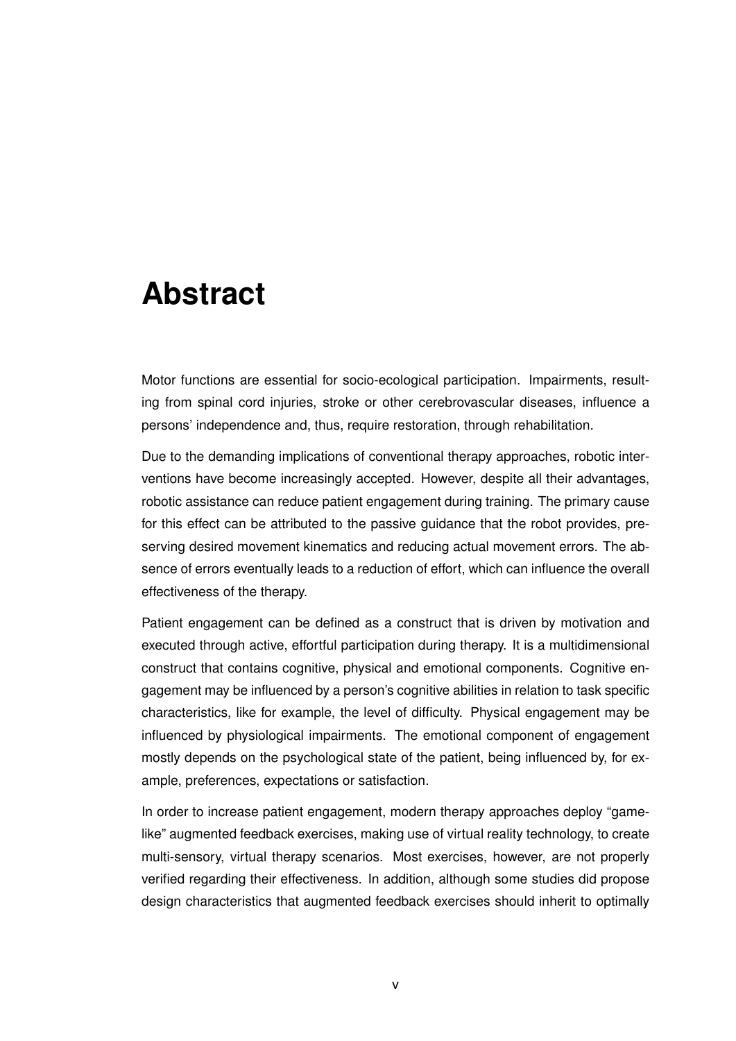### **Abstract**

Motor functions are essential for socio-ecological participation. Impairments, resulting from spinal cord injuries, stroke or other cerebrovascular diseases, influence a persons' independence and, thus, require restoration, through rehabilitation.

Due to the demanding implications of conventional therapy approaches, robotic interventions have become increasingly accepted. However, despite all their advantages, robotic assistance can reduce patient engagement during training. The primary cause for this effect can be attributed to the passive guidance that the robot provides, preserving desired movement kinematics and reducing actual movement errors. The absence of errors eventually leads to a reduction of effort, which can influence the overall effectiveness of the therapy.

Patient engagement can be defined as a construct that is driven by motivation and executed through active, effortful participation during therapy. It is a multidimensional construct that contains cognitive, physical and emotional components. Cognitive engagement may be influenced by a person's cognitive abilities in relation to task specific characteristics, like for example, the level of difficulty. Physical engagement may be influenced by physiological impairments. The emotional component of engagement mostly depends on the psychological state of the patient, being influenced by, for example, preferences, expectations or satisfaction.

In order to increase patient engagement, modern therapy approaches deploy "gamelike" augmented feedback exercises, making use of virtual reality technology, to create multi-sensory, virtual therapy scenarios. Most exercises, however, are not properly verified regarding their effectiveness. In addition, although some studies did propose design characteristics that augmented feedback exercises should inherit to optimally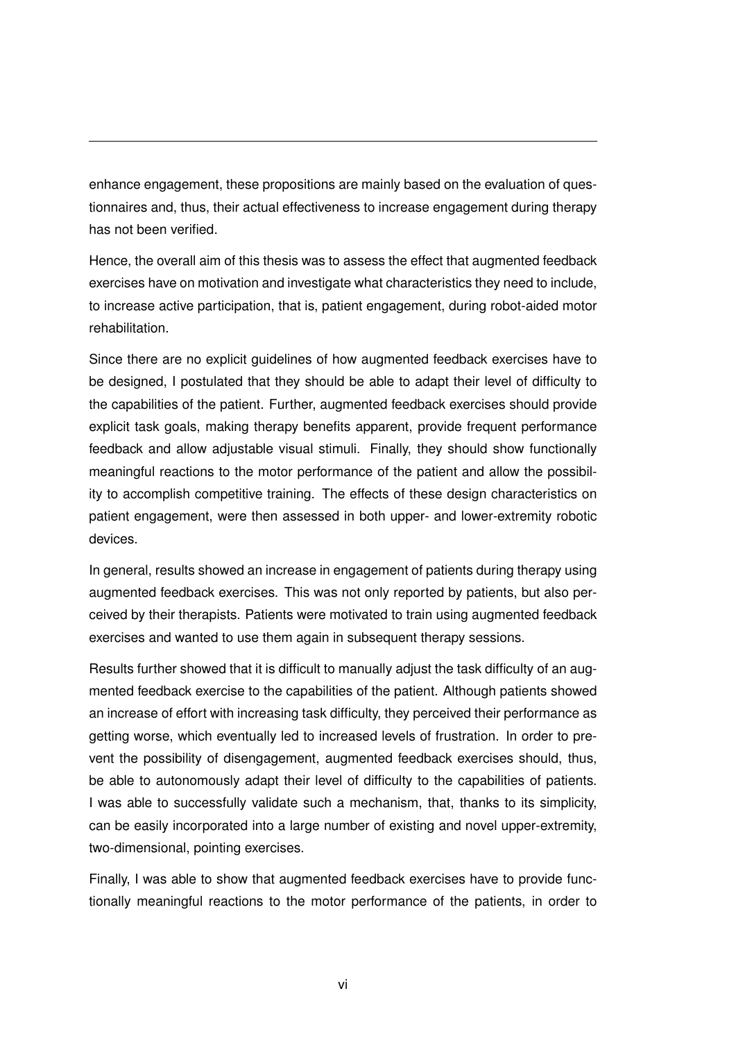enhance engagement, these propositions are mainly based on the evaluation of questionnaires and, thus, their actual effectiveness to increase engagement during therapy has not been verified.

Hence, the overall aim of this thesis was to assess the effect that augmented feedback exercises have on motivation and investigate what characteristics they need to include, to increase active participation, that is, patient engagement, during robot-aided motor rehabilitation.

Since there are no explicit guidelines of how augmented feedback exercises have to be designed, I postulated that they should be able to adapt their level of difficulty to the capabilities of the patient. Further, augmented feedback exercises should provide explicit task goals, making therapy benefits apparent, provide frequent performance feedback and allow adjustable visual stimuli. Finally, they should show functionally meaningful reactions to the motor performance of the patient and allow the possibility to accomplish competitive training. The effects of these design characteristics on patient engagement, were then assessed in both upper- and lower-extremity robotic devices.

In general, results showed an increase in engagement of patients during therapy using augmented feedback exercises. This was not only reported by patients, but also perceived by their therapists. Patients were motivated to train using augmented feedback exercises and wanted to use them again in subsequent therapy sessions.

Results further showed that it is difficult to manually adjust the task difficulty of an augmented feedback exercise to the capabilities of the patient. Although patients showed an increase of effort with increasing task difficulty, they perceived their performance as getting worse, which eventually led to increased levels of frustration. In order to prevent the possibility of disengagement, augmented feedback exercises should, thus, be able to autonomously adapt their level of difficulty to the capabilities of patients. I was able to successfully validate such a mechanism, that, thanks to its simplicity, can be easily incorporated into a large number of existing and novel upper-extremity, two-dimensional, pointing exercises.

Finally, I was able to show that augmented feedback exercises have to provide functionally meaningful reactions to the motor performance of the patients, in order to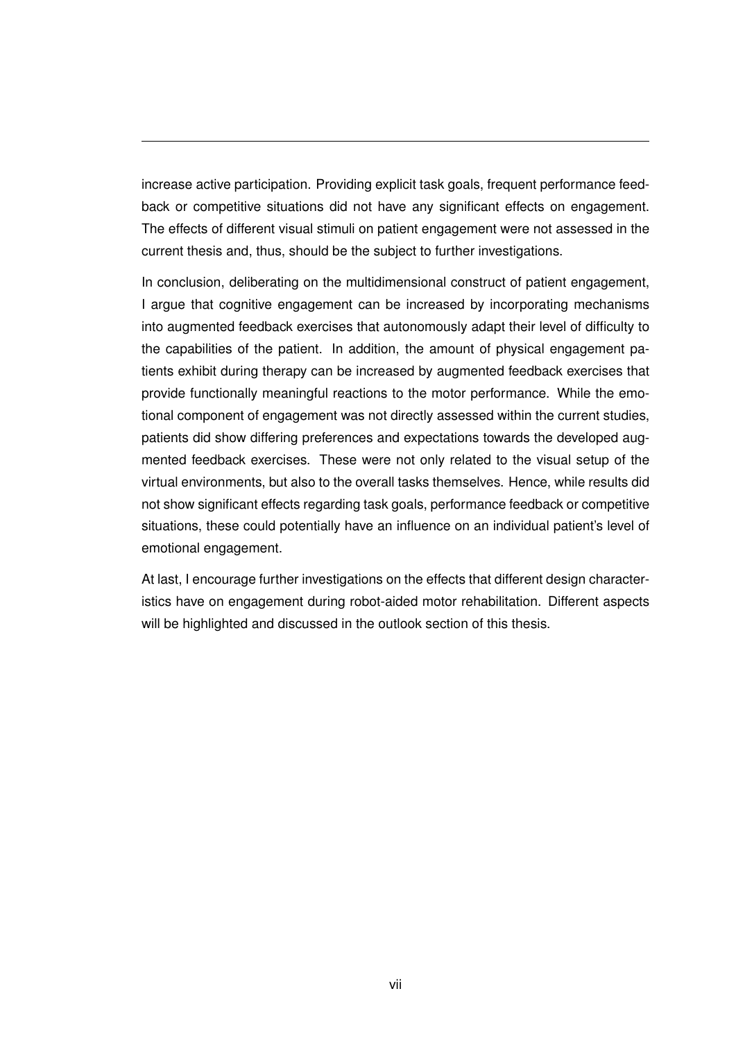increase active participation. Providing explicit task goals, frequent performance feedback or competitive situations did not have any significant effects on engagement. The effects of different visual stimuli on patient engagement were not assessed in the current thesis and, thus, should be the subject to further investigations.

In conclusion, deliberating on the multidimensional construct of patient engagement, I argue that cognitive engagement can be increased by incorporating mechanisms into augmented feedback exercises that autonomously adapt their level of difficulty to the capabilities of the patient. In addition, the amount of physical engagement patients exhibit during therapy can be increased by augmented feedback exercises that provide functionally meaningful reactions to the motor performance. While the emotional component of engagement was not directly assessed within the current studies, patients did show differing preferences and expectations towards the developed augmented feedback exercises. These were not only related to the visual setup of the virtual environments, but also to the overall tasks themselves. Hence, while results did not show significant effects regarding task goals, performance feedback or competitive situations, these could potentially have an influence on an individual patient's level of emotional engagement.

At last, I encourage further investigations on the effects that different design characteristics have on engagement during robot-aided motor rehabilitation. Different aspects will be highlighted and discussed in the outlook section of this thesis.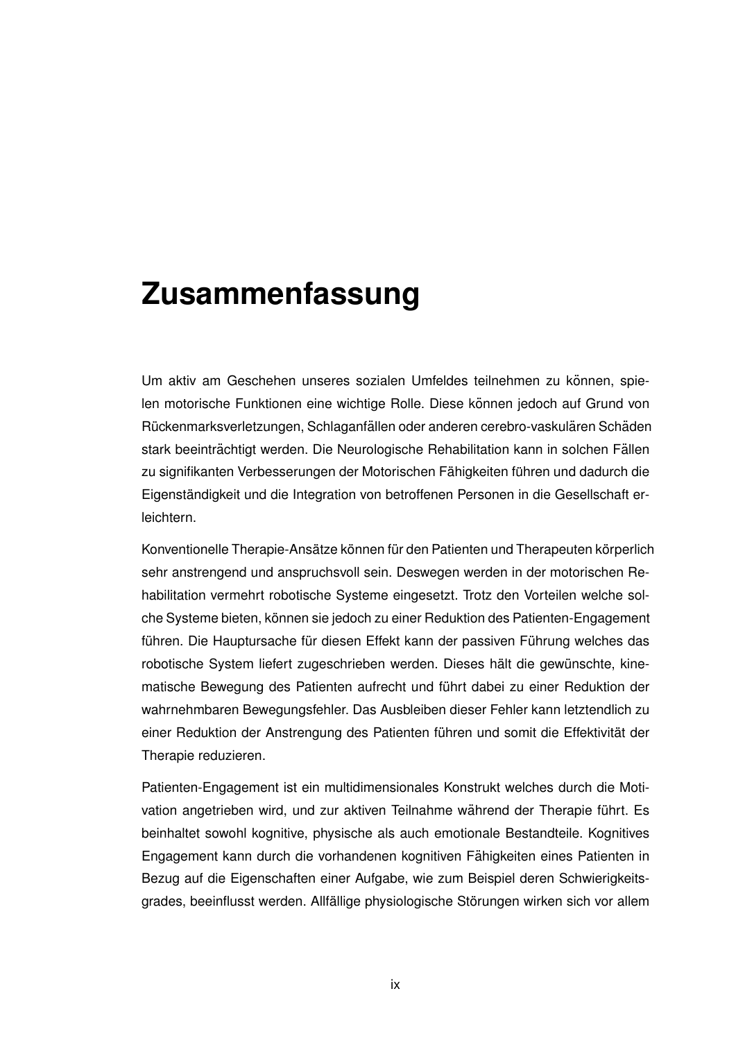#### **Zusammenfassung**

Um aktiv am Geschehen unseres sozialen Umfeldes teilnehmen zu können, spielen motorische Funktionen eine wichtige Rolle. Diese können jedoch auf Grund von Rückenmarksverletzungen, Schlaganfällen oder anderen cerebro-vaskulären Schäden stark beeinträchtigt werden. Die Neurologische Rehabilitation kann in solchen Fällen zu signifikanten Verbesserungen der Motorischen Fähigkeiten führen und dadurch die Eigenständigkeit und die Integration von betroffenen Personen in die Gesellschaft erleichtern.

Konventionelle Therapie-Ansätze können für den Patienten und Therapeuten körperlich sehr anstrengend und anspruchsvoll sein. Deswegen werden in der motorischen Rehabilitation vermehrt robotische Systeme eingesetzt. Trotz den Vorteilen welche solche Systeme bieten, können sie jedoch zu einer Reduktion des Patienten-Engagement führen. Die Hauptursache für diesen Effekt kann der passiven Führung welches das robotische System liefert zugeschrieben werden. Dieses hält die gewünschte, kinematische Bewegung des Patienten aufrecht und führt dabei zu einer Reduktion der wahrnehmbaren Bewegungsfehler. Das Ausbleiben dieser Fehler kann letztendlich zu einer Reduktion der Anstrengung des Patienten führen und somit die Effektivität der Therapie reduzieren.

Patienten-Engagement ist ein multidimensionales Konstrukt welches durch die Motivation angetrieben wird, und zur aktiven Teilnahme während der Therapie führt. Es beinhaltet sowohl kognitive, physische als auch emotionale Bestandteile. Kognitives Engagement kann durch die vorhandenen kognitiven Fähigkeiten eines Patienten in Bezug auf die Eigenschaften einer Aufgabe, wie zum Beispiel deren Schwierigkeitsgrades, beeinflusst werden. Allfällige physiologische Störungen wirken sich vor allem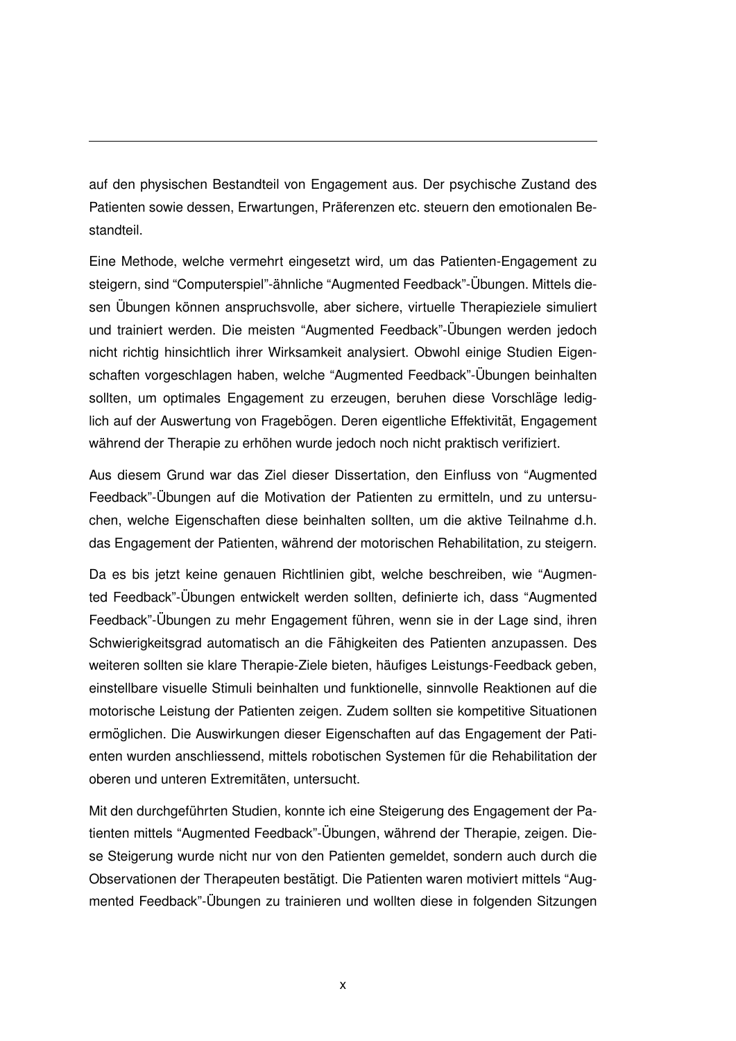auf den physischen Bestandteil von Engagement aus. Der psychische Zustand des Patienten sowie dessen, Erwartungen, Präferenzen etc. steuern den emotionalen Bestandteil.

Eine Methode, welche vermehrt eingesetzt wird, um das Patienten-Engagement zu steigern, sind "Computerspiel"-ähnliche "Augmented Feedback"-Übungen. Mittels diesen Übungen können anspruchsvolle, aber sichere, virtuelle Therapieziele simuliert und trainiert werden. Die meisten "Augmented Feedback"-Übungen werden jedoch nicht richtig hinsichtlich ihrer Wirksamkeit analysiert. Obwohl einige Studien Eigenschaften vorgeschlagen haben, welche "Augmented Feedback"-Übungen beinhalten sollten, um optimales Engagement zu erzeugen, beruhen diese Vorschläge lediglich auf der Auswertung von Fragebögen. Deren eigentliche Effektivität, Engagement während der Therapie zu erhöhen wurde jedoch noch nicht praktisch verifiziert.

Aus diesem Grund war das Ziel dieser Dissertation, den Einfluss von "Augmented Feedback"-Übungen auf die Motivation der Patienten zu ermitteln, und zu untersuchen, welche Eigenschaften diese beinhalten sollten, um die aktive Teilnahme d.h. das Engagement der Patienten, während der motorischen Rehabilitation, zu steigern.

Da es bis jetzt keine genauen Richtlinien gibt, welche beschreiben, wie "Augmented Feedback"-Übungen entwickelt werden sollten, definierte ich, dass "Augmented Feedback"-Übungen zu mehr Engagement führen, wenn sie in der Lage sind, ihren Schwierigkeitsgrad automatisch an die Fähigkeiten des Patienten anzupassen. Des weiteren sollten sie klare Therapie-Ziele bieten, häufiges Leistungs-Feedback geben, einstellbare visuelle Stimuli beinhalten und funktionelle, sinnvolle Reaktionen auf die motorische Leistung der Patienten zeigen. Zudem sollten sie kompetitive Situationen ermöglichen. Die Auswirkungen dieser Eigenschaften auf das Engagement der Patienten wurden anschliessend, mittels robotischen Systemen für die Rehabilitation der oberen und unteren Extremitäten, untersucht.

Mit den durchgefuhrten Studien, konnte ich eine Steigerung des Engagement der Pa- ¨ tienten mittels "Augmented Feedback"-Übungen, während der Therapie, zeigen. Diese Steigerung wurde nicht nur von den Patienten gemeldet, sondern auch durch die Observationen der Therapeuten bestatigt. Die Patienten waren motiviert mittels "Aug- ¨ mented Feedback"-Ubungen zu trainieren und wollten diese in folgenden Sitzungen ¨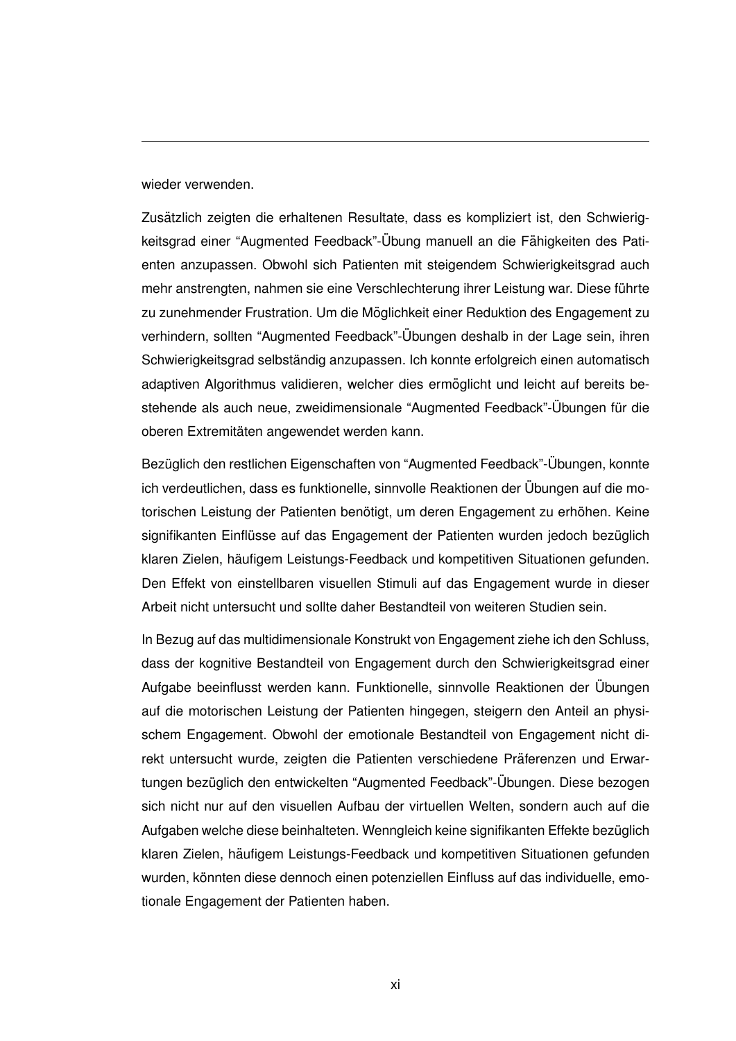wieder verwenden.

Zusätzlich zeigten die erhaltenen Resultate, dass es kompliziert ist, den Schwierigkeitsgrad einer "Augmented Feedback"-Übung manuell an die Fähigkeiten des Patienten anzupassen. Obwohl sich Patienten mit steigendem Schwierigkeitsgrad auch mehr anstrengten, nahmen sie eine Verschlechterung ihrer Leistung war. Diese führte zu zunehmender Frustration. Um die Möglichkeit einer Reduktion des Engagement zu verhindern, sollten "Augmented Feedback"-Ubungen deshalb in der Lage sein, ihren ¨ Schwierigkeitsgrad selbständig anzupassen. Ich konnte erfolgreich einen automatisch adaptiven Algorithmus validieren, welcher dies ermöglicht und leicht auf bereits bestehende als auch neue, zweidimensionale "Augmented Feedback"-Übungen für die oberen Extremitäten angewendet werden kann.

Bezüglich den restlichen Eigenschaften von "Augmented Feedback"-Übungen, konnte ich verdeutlichen, dass es funktionelle, sinnvolle Reaktionen der Ubungen auf die mo- ¨ torischen Leistung der Patienten benötigt, um deren Engagement zu erhöhen. Keine signifikanten Einflüsse auf das Engagement der Patienten wurden jedoch bezüglich klaren Zielen, häufigem Leistungs-Feedback und kompetitiven Situationen gefunden. Den Effekt von einstellbaren visuellen Stimuli auf das Engagement wurde in dieser Arbeit nicht untersucht und sollte daher Bestandteil von weiteren Studien sein.

In Bezug auf das multidimensionale Konstrukt von Engagement ziehe ich den Schluss, dass der kognitive Bestandteil von Engagement durch den Schwierigkeitsgrad einer Aufgabe beeinflusst werden kann. Funktionelle, sinnvolle Reaktionen der Ubungen ¨ auf die motorischen Leistung der Patienten hingegen, steigern den Anteil an physischem Engagement. Obwohl der emotionale Bestandteil von Engagement nicht direkt untersucht wurde, zeigten die Patienten verschiedene Präferenzen und Erwartungen bezüglich den entwickelten "Augmented Feedback"-Übungen. Diese bezogen sich nicht nur auf den visuellen Aufbau der virtuellen Welten, sondern auch auf die Aufgaben welche diese beinhalteten. Wenngleich keine signifikanten Effekte bezüglich klaren Zielen, häufigem Leistungs-Feedback und kompetitiven Situationen gefunden wurden, könnten diese dennoch einen potenziellen Einfluss auf das individuelle, emotionale Engagement der Patienten haben.